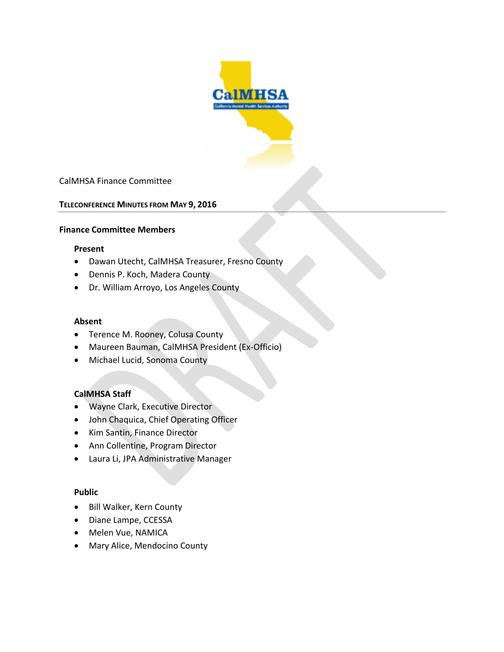

### CalMHSA Finance Committee

#### **TELECONFERENCE MINUTES FROM MAY 9, 2016**

#### **Finance Committee Members**

#### **Present**

- Dawan Utecht, CalMHSA Treasurer, Fresno County
- Dennis P. Koch, Madera County
- Dr. William Arroyo, Los Angeles County

#### **Absent**

- Terence M. Rooney, Colusa County
- Maureen Bauman, CalMHSA President (Ex-Officio)
- Michael Lucid, Sonoma County

### **CalMHSA Staff**

- Wayne Clark, Executive Director
- John Chaquica, Chief Operating Officer
- Kim Santin, Finance Director
- Ann Collentine, Program Director
- Laura Li, JPA Administrative Manager

#### **Public**

- Bill Walker, Kern County
- Diane Lampe, CCESSA
- Melen Vue, NAMICA
- Mary Alice, Mendocino County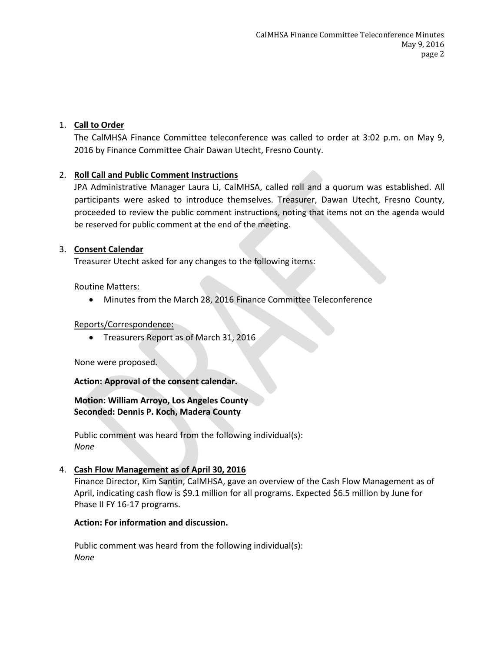## 1. **Call to Order**

The CalMHSA Finance Committee teleconference was called to order at 3:02 p.m. on May 9, 2016 by Finance Committee Chair Dawan Utecht, Fresno County.

## 2. **Roll Call and Public Comment Instructions**

JPA Administrative Manager Laura Li, CalMHSA, called roll and a quorum was established. All participants were asked to introduce themselves. Treasurer, Dawan Utecht, Fresno County, proceeded to review the public comment instructions, noting that items not on the agenda would be reserved for public comment at the end of the meeting.

### 3. **Consent Calendar**

Treasurer Utecht asked for any changes to the following items:

### Routine Matters:

Minutes from the March 28, 2016 Finance Committee Teleconference

### Reports/Correspondence:

• Treasurers Report as of March 31, 2016

None were proposed.

### **Action: Approval of the consent calendar.**

### **Motion: William Arroyo, Los Angeles County Seconded: Dennis P. Koch, Madera County**

Public comment was heard from the following individual(s): *None*

### 4. **Cash Flow Management as of April 30, 2016**

Finance Director, Kim Santin, CalMHSA, gave an overview of the Cash Flow Management as of April, indicating cash flow is \$9.1 million for all programs. Expected \$6.5 million by June for Phase II FY 16-17 programs.

### **Action: For information and discussion.**

Public comment was heard from the following individual(s): *None*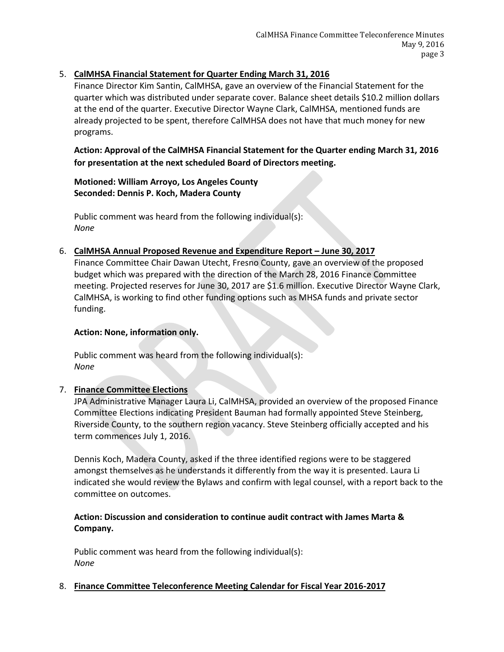# 5. **CalMHSA Financial Statement for Quarter Ending March 31, 2016**

Finance Director Kim Santin, CalMHSA, gave an overview of the Financial Statement for the quarter which was distributed under separate cover. Balance sheet details \$10.2 million dollars at the end of the quarter. Executive Director Wayne Clark, CalMHSA, mentioned funds are already projected to be spent, therefore CalMHSA does not have that much money for new programs.

**Action: Approval of the CalMHSA Financial Statement for the Quarter ending March 31, 2016 for presentation at the next scheduled Board of Directors meeting.**

**Motioned: William Arroyo, Los Angeles County Seconded: Dennis P. Koch, Madera County**

Public comment was heard from the following individual(s): *None*

### 6. **CalMHSA Annual Proposed Revenue and Expenditure Report – June 30, 2017**

Finance Committee Chair Dawan Utecht, Fresno County, gave an overview of the proposed budget which was prepared with the direction of the March 28, 2016 Finance Committee meeting. Projected reserves for June 30, 2017 are \$1.6 million. Executive Director Wayne Clark, CalMHSA, is working to find other funding options such as MHSA funds and private sector funding.

### **Action: None, information only.**

Public comment was heard from the following individual(s): *None*

# 7. **Finance Committee Elections**

JPA Administrative Manager Laura Li, CalMHSA, provided an overview of the proposed Finance Committee Elections indicating President Bauman had formally appointed Steve Steinberg, Riverside County, to the southern region vacancy. Steve Steinberg officially accepted and his term commences July 1, 2016.

Dennis Koch, Madera County, asked if the three identified regions were to be staggered amongst themselves as he understands it differently from the way it is presented. Laura Li indicated she would review the Bylaws and confirm with legal counsel, with a report back to the committee on outcomes.

# **Action: Discussion and consideration to continue audit contract with James Marta & Company.**

Public comment was heard from the following individual(s): *None*

8. **Finance Committee Teleconference Meeting Calendar for Fiscal Year 2016-2017**